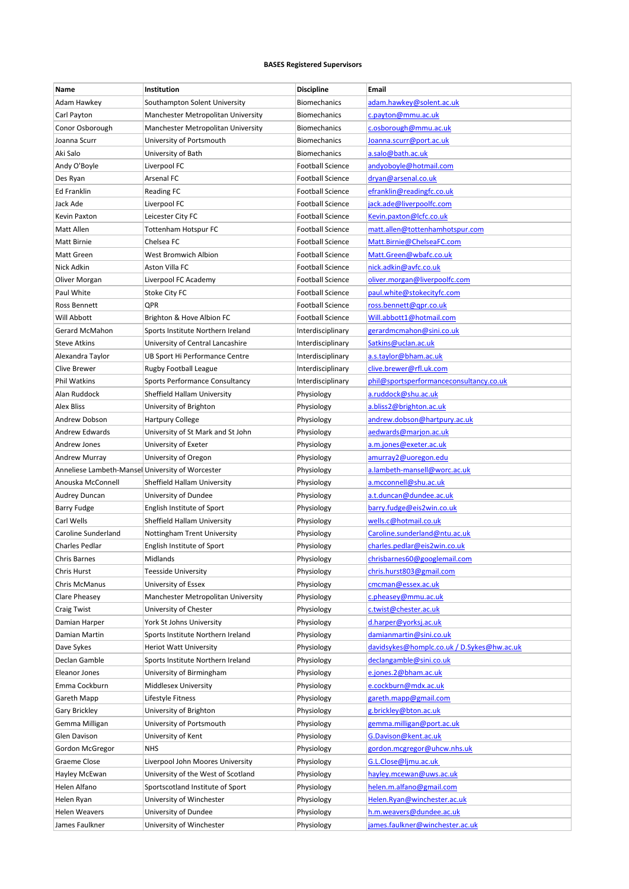## **BASES Registered Supervisors**

| Name                                             | Institution                        | <b>Discipline</b>       | Email                                      |
|--------------------------------------------------|------------------------------------|-------------------------|--------------------------------------------|
| Adam Hawkey                                      | Southampton Solent University      | <b>Biomechanics</b>     | adam.hawkey@solent.ac.uk                   |
| Carl Payton                                      | Manchester Metropolitan University | <b>Biomechanics</b>     | c.payton@mmu.ac.uk                         |
| Conor Osborough                                  | Manchester Metropolitan University | <b>Biomechanics</b>     | c.osborough@mmu.ac.uk                      |
| Joanna Scurr                                     | University of Portsmouth           | Biomechanics            | Joanna.scurr@port.ac.uk                    |
| Aki Salo                                         | University of Bath                 | Biomechanics            | a.salo@bath.ac.uk                          |
| Andy O'Boyle                                     | Liverpool FC                       | <b>Football Science</b> | andyoboyle@hotmail.com                     |
| Des Ryan                                         | Arsenal FC                         | <b>Football Science</b> | dryan@arsenal.co.uk                        |
| <b>Ed Franklin</b>                               | Reading FC                         | <b>Football Science</b> | efranklin@readingfc.co.uk                  |
| Jack Ade                                         | Liverpool FC                       | <b>Football Science</b> | jack.ade@liverpoolfc.com                   |
| Kevin Paxton                                     | Leicester City FC                  | <b>Football Science</b> | Kevin.paxton@lcfc.co.uk                    |
| Matt Allen                                       | Tottenham Hotspur FC               | <b>Football Science</b> | matt.allen@tottenhamhotspur.com            |
| Matt Birnie                                      | Chelsea FC                         | <b>Football Science</b> | Matt.Birnie@ChelseaFC.com                  |
| Matt Green                                       | West Bromwich Albion               | <b>Football Science</b> | Matt.Green@wbafc.co.uk                     |
| Nick Adkin                                       | Aston Villa FC                     | <b>Football Science</b> | nick.adkin@avfc.co.uk                      |
| Oliver Morgan                                    | Liverpool FC Academy               | <b>Football Science</b> | oliver.morgan@liverpoolfc.com              |
| Paul White                                       | Stoke City FC                      | <b>Football Science</b> | paul.white@stokecityfc.com                 |
| Ross Bennett                                     | QPR                                | <b>Football Science</b> | ross.bennett@qpr.co.uk                     |
| Will Abbott                                      | Brighton & Hove Albion FC          | <b>Football Science</b> | Will.abbott1@hotmail.com                   |
| Gerard McMahon                                   | Sports Institute Northern Ireland  | Interdisciplinary       | gerardmcmahon@sini.co.uk                   |
| <b>Steve Atkins</b>                              | University of Central Lancashire   | Interdisciplinary       | Satkins@uclan.ac.uk                        |
| Alexandra Taylor                                 | UB Sport Hi Performance Centre     | Interdisciplinary       | a.s.taylor@bham.ac.uk                      |
| <b>Clive Brewer</b>                              | Rugby Football League              | Interdisciplinary       | clive.brewer@rfl.uk.com                    |
| <b>Phil Watkins</b>                              | Sports Performance Consultancy     | Interdisciplinary       | phil@sportsperformanceconsultancy.co.uk    |
| Alan Ruddock                                     | Sheffield Hallam University        | Physiology              | a.ruddock@shu.ac.uk                        |
| <b>Alex Bliss</b>                                | University of Brighton             | Physiology              | a.bliss2@brighton.ac.uk                    |
| Andrew Dobson                                    | <b>Hartpury College</b>            | Physiology              | andrew.dobson@hartpury.ac.uk               |
| Andrew Edwards                                   | University of St Mark and St John  | Physiology              | aedwards@marjon.ac.uk                      |
| Andrew Jones                                     | University of Exeter               | Physiology              | a.m.jones@exeter.ac.uk                     |
| Andrew Murray                                    | University of Oregon               | Physiology              | amurray2@uoregon.edu                       |
| Anneliese Lambeth-Mansel University of Worcester |                                    | Physiology              | a.lambeth-mansell@worc.ac.uk               |
| Anouska McConnell                                | Sheffield Hallam University        | Physiology              | a.mcconnell@shu.ac.uk                      |
| Audrey Duncan                                    | University of Dundee               | Physiology              | a.t.duncan@dundee.ac.uk                    |
| <b>Barry Fudge</b>                               | English Institute of Sport         | Physiology              | barry.fudge@eis2win.co.uk                  |
| Carl Wells                                       | Sheffield Hallam University        | Physiology              | wells.c@hotmail.co.uk                      |
| Caroline Sunderland                              | Nottingham Trent University        | Physiology              | Caroline.sunderland@ntu.ac.uk              |
| <b>Charles Pedlar</b>                            | English Institute of Sport         | Physiology              | charles.pedlar@eis2win.co.uk               |
| Chris Barnes                                     | Midlands                           | Physiology              | chrisbarnes60@googlemail.com               |
| Chris Hurst                                      | Teesside University                | Physiology              | chris.hurst803@gmail.com                   |
| Chris McManus                                    | University of Essex                | Physiology              | cmcman@essex.ac.uk                         |
| Clare Pheasey                                    | Manchester Metropolitan University | Physiology              | c.pheasey@mmu.ac.uk                        |
| <b>Craig Twist</b>                               | University of Chester              | Physiology              | c.twist@chester.ac.uk                      |
| Damian Harper                                    | York St Johns University           | Physiology              | d.harper@yorksj.ac.uk                      |
| Damian Martin                                    | Sports Institute Northern Ireland  | Physiology              | damianmartin@sini.co.uk                    |
| Dave Sykes                                       | <b>Heriot Watt University</b>      | Physiology              | davidsykes@homplc.co.uk / D.Sykes@hw.ac.uk |
| Declan Gamble                                    | Sports Institute Northern Ireland  | Physiology              | declangamble@sini.co.uk                    |
| Eleanor Jones                                    | University of Birmingham           | Physiology              | e.jones.2@bham.ac.uk                       |
| Emma Cockburn                                    | Middlesex University               | Physiology              | e.cockburn@mdx.ac.uk                       |
| Gareth Mapp                                      | Lifestyle Fitness                  | Physiology              | gareth.mapp@gmail.com                      |
| Gary Brickley                                    | University of Brighton             | Physiology              | g.brickley@bton.ac.uk                      |
| Gemma Milligan                                   | University of Portsmouth           | Physiology              | gemma.milligan@port.ac.uk                  |
| Glen Davison                                     | University of Kent                 | Physiology              | G.Davison@kent.ac.uk                       |
| Gordon McGregor                                  | NHS                                | Physiology              | gordon.mcgregor@uhcw.nhs.uk                |
| Graeme Close                                     | Liverpool John Moores University   | Physiology              | G.L.Close@ljmu.ac.uk                       |
| Hayley McEwan                                    | University of the West of Scotland | Physiology              | hayley.mcewan@uws.ac.uk                    |
| Helen Alfano                                     | Sportscotland Institute of Sport   | Physiology              | helen.m.alfano@gmail.com                   |
| Helen Ryan                                       | University of Winchester           | Physiology              | Helen.Ryan@winchester.ac.uk                |
| Helen Weavers                                    | University of Dundee               | Physiology              | h.m.weavers@dundee.ac.uk                   |
| James Faulkner                                   | University of Winchester           | Physiology              | james.faulkner@winchester.ac.uk            |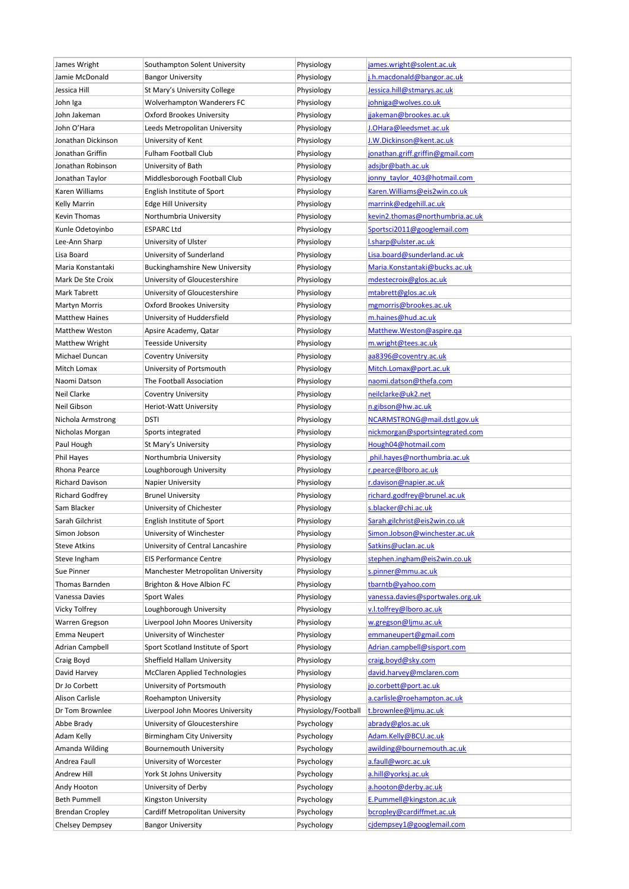| James Wright           | Southampton Solent University         | Physiology          | james.wright@solent.ac.uk        |
|------------------------|---------------------------------------|---------------------|----------------------------------|
| Jamie McDonald         | <b>Bangor University</b>              | Physiology          | j.h.macdonald@bangor.ac.uk       |
| Jessica Hill           | St Mary's University College          | Physiology          | Jessica.hill@stmarys.ac.uk       |
| John Iga               | Wolverhampton Wanderers FC            | Physiology          | johniga@wolves.co.uk             |
| John Jakeman           | Oxford Brookes University             | Physiology          | jjakeman@brookes.ac.uk           |
| John O'Hara            | Leeds Metropolitan University         | Physiology          | J.OHara@leedsmet.ac.uk           |
| Jonathan Dickinson     | University of Kent                    | Physiology          | <u>J.W.Dickinson@kent.ac.uk</u>  |
| Jonathan Griffin       | Fulham Football Club                  | Physiology          | jonathan.griff.griffin@gmail.com |
| Jonathan Robinson      | University of Bath                    | Physiology          | adsjbr@bath.ac.uk                |
| Jonathan Taylor        | Middlesborough Football Club          | Physiology          | jonny taylor 403@hotmail.com     |
| Karen Williams         | English Institute of Sport            | Physiology          | Karen. Williams@eis2win.co.uk    |
| <b>Kelly Marrin</b>    | <b>Edge Hill University</b>           | Physiology          | marrink@edgehill.ac.uk           |
| Kevin Thomas           | Northumbria University                | Physiology          | kevin2.thomas@northumbria.ac.uk  |
| Kunle Odetoyinbo       | ESPARC Ltd                            | Physiology          | Sportsci2011@googlemail.com      |
| Lee-Ann Sharp          | University of Ulster                  | Physiology          | l.sharp@ulster.ac.uk             |
| Lisa Board             | University of Sunderland              | Physiology          | Lisa.board@sunderland.ac.uk      |
| Maria Konstantaki      | <b>Buckinghamshire New University</b> | Physiology          | Maria.Konstantaki@bucks.ac.uk    |
| Mark De Ste Croix      | University of Gloucestershire         | Physiology          | mdestecroix@glos.ac.uk           |
| Mark Tabrett           | University of Gloucestershire         | Physiology          | mtabrett@glos.ac.uk              |
|                        |                                       |                     |                                  |
| Martyn Morris          | Oxford Brookes University             | Physiology          | mgmorris@brookes.ac.uk           |
| <b>Matthew Haines</b>  | University of Huddersfield            | Physiology          | m.haines@hud.ac.uk               |
| <b>Matthew Weston</b>  | Apsire Academy, Qatar                 | Physiology          | Matthew.Weston@aspire.qa         |
| <b>Matthew Wright</b>  | Teesside University                   | Physiology          | m.wright@tees.ac.uk              |
| Michael Duncan         | Coventry University                   | Physiology          | aa8396@coventry.ac.uk            |
| Mitch Lomax            | University of Portsmouth              | Physiology          | Mitch.Lomax@port.ac.uk           |
| Naomi Datson           | The Football Association              | Physiology          | naomi.datson@thefa.com           |
| Neil Clarke            | Coventry University                   | Physiology          | neilclarke@uk2.net               |
| Neil Gibson            | Heriot-Watt University                | Physiology          | n.gibson@hw.ac.uk                |
| Nichola Armstrong      | dsti                                  | Physiology          | NCARMSTRONG@mail.dstl.gov.uk     |
| Nicholas Morgan        | Sports integrated                     | Physiology          | nickmorgan@sportsintegrated.com  |
| Paul Hough             | St Mary's University                  | Physiology          | Hough04@hotmail.com              |
| Phil Hayes             | Northumbria University                | Physiology          | phil.hayes@northumbria.ac.uk     |
| Rhona Pearce           | Loughborough University               | Physiology          | r.pearce@lboro.ac.uk             |
| <b>Richard Davison</b> | Napier University                     | Physiology          | r.davison@napier.ac.uk           |
| <b>Richard Godfrey</b> | <b>Brunel University</b>              | Physiology          | richard.godfrey@brunel.ac.uk     |
| Sam Blacker            | University of Chichester              | Physiology          | s.blacker@chi.ac.uk              |
| Sarah Gilchrist        | English Institute of Sport            | Physiology          | Sarah.gilchrist@eis2win.co.uk    |
| Simon Jobson           | University of Winchester              | Physiology          | Simon.Jobson@winchester.ac.uk    |
| <b>Steve Atkins</b>    | University of Central Lancashire      | Physiology          | Satkins@uclan.ac.uk              |
| Steve Ingham           | <b>EIS Performance Centre</b>         | Physiology          | stephen.ingham@eis2win.co.uk     |
| Sue Pinner             | Manchester Metropolitan University    | Physiology          | s.pinner@mmu.ac.uk               |
| Thomas Barnden         | Brighton & Hove Albion FC             | Physiology          | tbarntb@yahoo.com                |
| Vanessa Davies         | Sport Wales                           | Physiology          | vanessa.davies@sportwales.org.uk |
| Vicky Tolfrey          | Loughborough University               | Physiology          | v.l.tolfrey@lboro.ac.uk          |
| Warren Gregson         | Liverpool John Moores University      | Physiology          | w.gregson@ljmu.ac.uk             |
| Emma Neupert           | University of Winchester              | Physiology          | emmaneupert@gmail.com            |
| Adrian Campbell        | Sport Scotland Institute of Sport     | Physiology          | Adrian.campbell@sisport.com      |
| Craig Boyd             | Sheffield Hallam University           | Physiology          | craig.boyd@sky.com               |
| David Harvey           | McClaren Applied Technologies         | Physiology          | david.harvey@mclaren.com         |
| Dr Jo Corbett          | University of Portsmouth              | Physiology          | jo.corbett@port.ac.uk            |
| Alison Carlisle        | Roehampton University                 | Physiology          | a.carlisle@roehampton.ac.uk      |
| Dr Tom Brownlee        | Liverpool John Moores University      | Physiology/Football | t.brownlee@ljmu.ac.uk            |
| Abbe Brady             | University of Gloucestershire         | Psychology          | abrady@glos.ac.uk                |
|                        |                                       |                     |                                  |
| Adam Kelly             | Birmingham City University            | Psychology          | Adam.Kelly@BCU.ac.uk             |
| Amanda Wilding         | Bournemouth University                | Psychology          | awilding@bournemouth.ac.uk       |
| Andrea Faull           | University of Worcester               | Psychology          | a.faull@worc.ac.uk               |
| Andrew Hill            | York St Johns University              | Psychology          | a.hill@yorksj.ac.uk              |
| Andy Hooton            | University of Derby                   | Psychology          | a.hooton@derby.ac.uk             |
| <b>Beth Pummell</b>    | Kingston University                   | Psychology          | E.Pummell@kingston.ac.uk         |
| <b>Brendan Cropley</b> | Cardiff Metropolitan University       | Psychology          | bcropley@cardiffmet.ac.uk        |
| <b>Chelsey Dempsey</b> | <b>Bangor University</b>              | Psychology          | cjdempsey1@googlemail.com        |